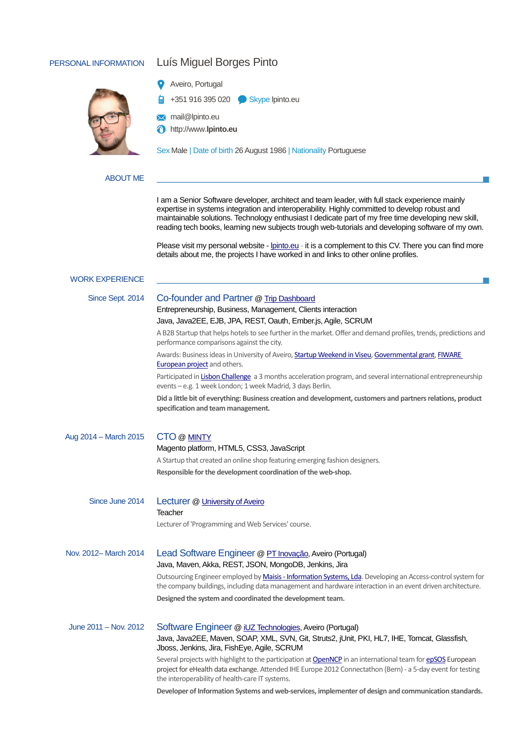# PERSONAL INFORMATION Luís Miguel Borges Pinto



# Aveiro, Portugal

- +351 916 395 020 Skype lpinto.eu
- **X** mail@lpinto.eu
- http://www.**lpinto.eu**

Sex Male | Date of birth 26 August 1986 | Nationality Portuguese

# ABOUT ME

I am a Senior Software developer, architect and team leader, with full stack experience mainly expertise in systems integration and interoperability. Highly committed to develop robust and maintainable solutions. Technology enthusiast I dedicate part of my free time developing new skill, reading tech books, learning new subjects trough web-tutorials and developing software of my own.

Please visit my personal website - [lpinto.eu](pt.linkedin.com/in/luismiguelpinto) - it is a complement to this CV. There you can find more details about me, the projects I have worked in and links to other online profiles.

### WORK EXPERIENCE

### Since Sept. 2014 Co-founder and Partner [@ Trip Dashboard](http://www.tripdashboard.pt/)

# Entrepreneurship, Business, Management, Clients interaction

#### Java, Java2EE, EJB, JPA, REST, Oauth, Ember.js, Agile, SCRUM

A B2B Startup that helps hotels to see further in the market. Offer and demand profiles, trends, predictions and performance comparisons against the city.

Awards: Business ideas in University of Aveiro, **Startup Weekend in Viseu, Governmental grant**, FIWARE [European project](http://www.fiware.org/) and others.

Participated i[n Lisbon Challenge](http://www.lisbon-challenge.com/) a 3 months acceleration program, and several international entrepreneurship events – e.g. 1 week London; 1 week Madrid, 3 days Berlin.

**Did a little bit of everything: Business creation and development, customers and partners relations, product specification and team management.**

| Aug 2014 – March 2015 | CTO @ MINTY<br>Magento platform, HTML5, CSS3, JavaScript                                                                                                                                                                   |  |  |  |  |
|-----------------------|----------------------------------------------------------------------------------------------------------------------------------------------------------------------------------------------------------------------------|--|--|--|--|
|                       | A Startup that created an online shop featuring emerging fashion designers.                                                                                                                                                |  |  |  |  |
|                       | Responsible for the development coordination of the web-shop.                                                                                                                                                              |  |  |  |  |
| Since June 2014       | Lecturer @ University of Aveiro<br>Teacher                                                                                                                                                                                 |  |  |  |  |
|                       | Lecturer of 'Programming and Web Services' course.                                                                                                                                                                         |  |  |  |  |
| Nov. 2012-March 2014  | Lead Software Engineer @ PT Inovação, Aveiro (Portugal)<br>Java, Maven, Akka, REST, JSON, MongoDB, Jenkins, Jira                                                                                                           |  |  |  |  |
|                       | Outsourcing Engineer employed by Maisis - Information Systems, Lda. Developing an Access-control system for<br>the company buildings, including data management and hardware interaction in an event driven architecture.  |  |  |  |  |
|                       | Designed the system and coordinated the development team.                                                                                                                                                                  |  |  |  |  |
| June 2011 - Nov. 2012 | Software Engineer @ iUZ Technologies, Aveiro (Portugal)                                                                                                                                                                    |  |  |  |  |
|                       | Java, Java2EE, Maven, SOAP, XML, SVN, Git, Struts2, jUnit, PKI, HL7, IHE, Tomcat, Glassfish,<br>Jboss, Jenkins, Jira, FishEye, Agile, SCRUM                                                                                |  |  |  |  |
|                       | Several projects with highlight to the participation at OpenNCP in an international team for epSOS European<br>project for eHealth data exchange. Attended IHE Europe 2012 Connectathon (Bern) - a 5-day event for testing |  |  |  |  |

the interoperability of health-care IT systems. **Developer of Information Systems and web-services, implementer of design and communication standards.**